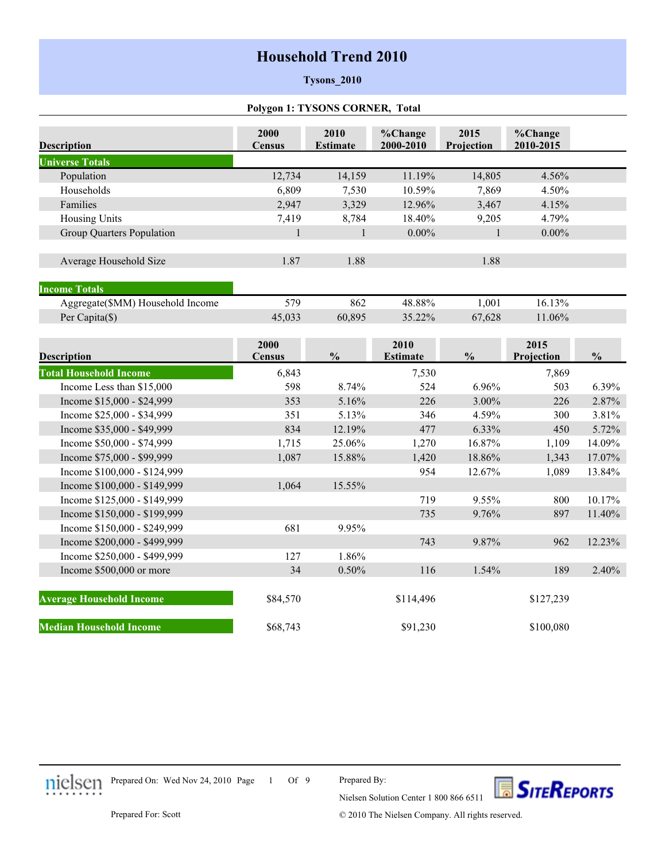# **Household Trend 2010**

### **Tysons\_2010**

### **Polygon 1: TYSONS CORNER, Total**

| <b>Description</b>               | 2000<br><b>Census</b> | 2010<br><b>Estimate</b> | %Change<br>2000-2010    | 2015<br>Projection | %Change<br>2010-2015 |               |
|----------------------------------|-----------------------|-------------------------|-------------------------|--------------------|----------------------|---------------|
| <b>Universe Totals</b>           |                       |                         |                         |                    |                      |               |
| Population                       | 12,734                | 14,159                  | 11.19%                  | 14,805             | 4.56%                |               |
| Households                       | 6,809                 | 7,530                   | 10.59%                  | 7,869              | 4.50%                |               |
| Families                         | 2,947                 | 3,329                   | 12.96%                  | 3,467              | 4.15%                |               |
| <b>Housing Units</b>             | 7,419                 | 8,784                   | 18.40%                  | 9,205              | 4.79%                |               |
| Group Quarters Population        | $\mathbf{1}$          | $\mathbf{1}$            | $0.00\%$                | $\mathbf{1}$       | $0.00\%$             |               |
| Average Household Size           | 1.87                  | 1.88                    |                         | 1.88               |                      |               |
| <b>Income Totals</b>             |                       |                         |                         |                    |                      |               |
| Aggregate(\$MM) Household Income | 579                   | 862                     | 48.88%                  | 1,001              | 16.13%               |               |
| Per Capita(\$)                   | 45,033                | 60,895                  | 35.22%                  | 67,628             | 11.06%               |               |
| <b>Description</b>               | 2000<br><b>Census</b> | $\frac{0}{0}$           | 2010<br><b>Estimate</b> | $\frac{0}{0}$      | 2015<br>Projection   | $\frac{0}{0}$ |
| <b>Total Household Income</b>    | 6,843                 |                         | 7,530                   |                    | 7,869                |               |
| Income Less than \$15,000        | 598                   | 8.74%                   | 524                     | 6.96%              | 503                  | 6.39%         |
| Income \$15,000 - \$24,999       | 353                   | 5.16%                   | 226                     | 3.00%              | 226                  | 2.87%         |
| Income \$25,000 - \$34,999       | 351                   | 5.13%                   | 346                     | 4.59%              | 300                  | 3.81%         |
| Income \$35,000 - \$49,999       | 834                   | 12.19%                  | 477                     | 6.33%              | 450                  | 5.72%         |
| Income \$50,000 - \$74,999       | 1,715                 | 25.06%                  | 1,270                   | 16.87%             | 1,109                | 14.09%        |
| Income \$75,000 - \$99,999       | 1,087                 | 15.88%                  | 1,420                   | 18.86%             | 1,343                | 17.07%        |
| Income \$100,000 - \$124,999     |                       |                         | 954                     | 12.67%             | 1,089                | 13.84%        |
| Income \$100,000 - \$149,999     | 1,064                 | 15.55%                  |                         |                    |                      |               |
| Income \$125,000 - \$149,999     |                       |                         | 719                     | 9.55%              | 800                  | 10.17%        |
| Income \$150,000 - \$199,999     |                       |                         | 735                     | 9.76%              | 897                  | 11.40%        |
| Income \$150,000 - \$249,999     | 681                   | 9.95%                   |                         |                    |                      |               |
| Income \$200,000 - \$499,999     |                       |                         | 743                     | 9.87%              | 962                  | 12.23%        |
| Income \$250,000 - \$499,999     | 127                   | 1.86%                   |                         |                    |                      |               |
| Income \$500,000 or more         | 34                    | 0.50%                   | 116                     | 1.54%              | 189                  | 2.40%         |
| <b>Average Household Income</b>  | \$84,570              |                         | \$114,496               |                    | \$127,239            |               |
| <b>Median Household Income</b>   | \$68,743              |                         | \$91,230                |                    | \$100,080            |               |

Prepared On: Wed Nov 24, 2010 Page 1 Of 9

Prepared By:



Prepared For: Scott

© 2010 The Nielsen Company. All rights reserved.